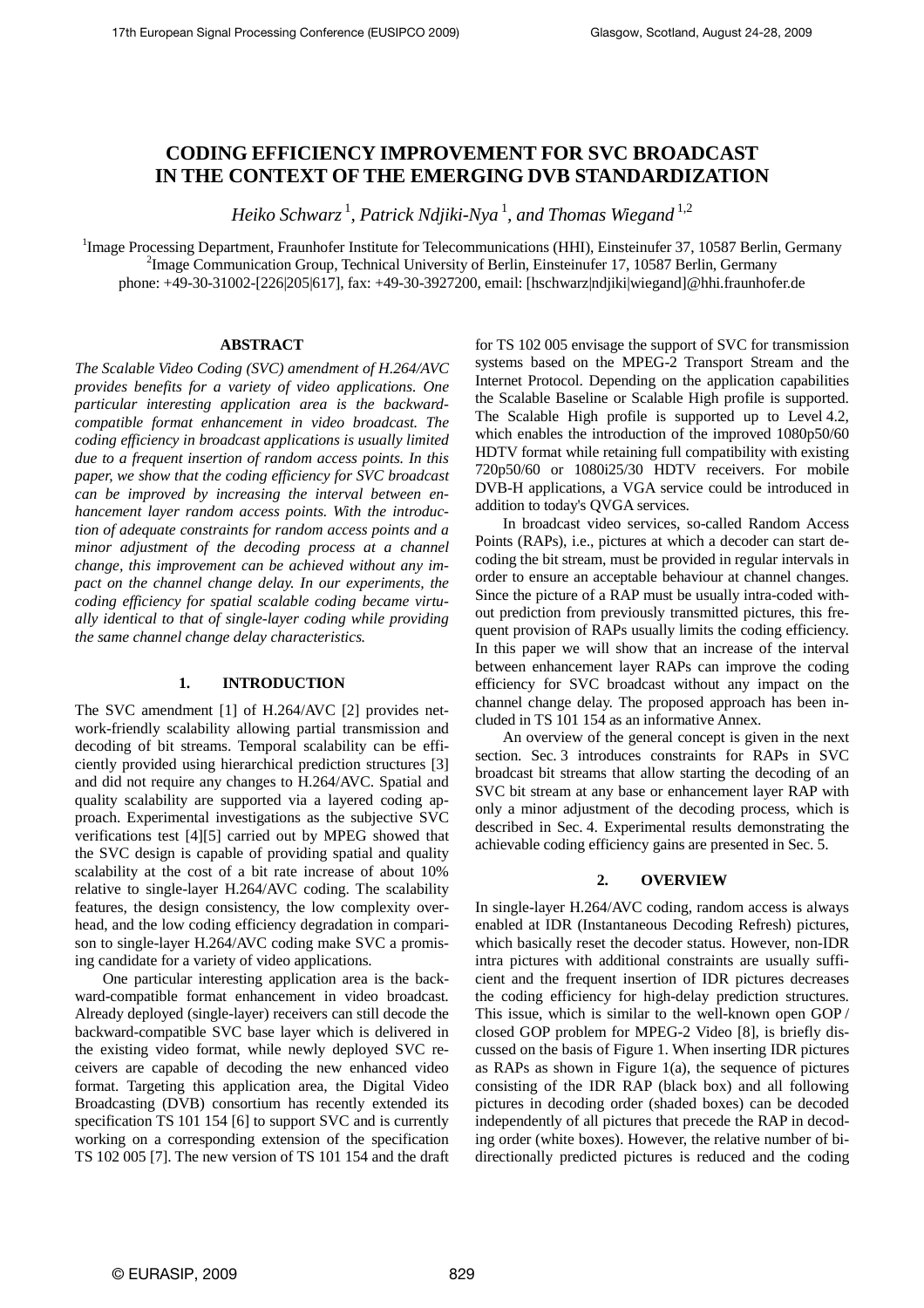# **CODING EFFICIENCY IMPROVEMENT FOR SVC BROADCAST IN THE CONTEXT OF THE EMERGING DVB STANDARDIZATION**

*Heiko Schwarz* <sup>1</sup> *, Patrick Ndjiki-Nya* <sup>1</sup> *, and Thomas Wiegand* 1,2

<sup>1</sup>Image Processing Department, Fraunhofer Institute for Telecommunications (HHI), Einsteinufer 37, 10587 Berlin, Germany <sup>2</sup>Image Communication Group, Technical University of Berlin, Einsteinufer 17, 10587 Berlin, Germany phone: +49-30-31002-[226|205|617], fax: +49-30-3927200, email: [hschwarz|ndjiki|wiegand]@hhi.fraunhofer.de

## **ABSTRACT**

*The Scalable Video Coding (SVC) amendment of H.264/AVC provides benefits for a variety of video applications. One particular interesting application area is the backwardcompatible format enhancement in video broadcast. The coding efficiency in broadcast applications is usually limited due to a frequent insertion of random access points. In this paper, we show that the coding efficiency for SVC broadcast can be improved by increasing the interval between enhancement layer random access points. With the introduction of adequate constraints for random access points and a minor adjustment of the decoding process at a channel change, this improvement can be achieved without any impact on the channel change delay. In our experiments, the coding efficiency for spatial scalable coding became virtually identical to that of single-layer coding while providing the same channel change delay characteristics.* 

#### **1. INTRODUCTION**

The SVC amendment [1] of H.264/AVC [2] provides network-friendly scalability allowing partial transmission and decoding of bit streams. Temporal scalability can be efficiently provided using hierarchical prediction structures [3] and did not require any changes to H.264/AVC. Spatial and quality scalability are supported via a layered coding approach. Experimental investigations as the subjective SVC verifications test [4][5] carried out by MPEG showed that the SVC design is capable of providing spatial and quality scalability at the cost of a bit rate increase of about 10% relative to single-layer H.264/AVC coding. The scalability features, the design consistency, the low complexity overhead, and the low coding efficiency degradation in comparison to single-layer H.264/AVC coding make SVC a promising candidate for a variety of video applications.

One particular interesting application area is the backward-compatible format enhancement in video broadcast. Already deployed (single-layer) receivers can still decode the backward-compatible SVC base layer which is delivered in the existing video format, while newly deployed SVC receivers are capable of decoding the new enhanced video format. Targeting this application area, the Digital Video Broadcasting (DVB) consortium has recently extended its specification TS 101 154 [6] to support SVC and is currently working on a corresponding extension of the specification TS 102 005 [7]. The new version of TS 101 154 and the draft for TS 102 005 envisage the support of SVC for transmission systems based on the MPEG-2 Transport Stream and the Internet Protocol. Depending on the application capabilities the Scalable Baseline or Scalable High profile is supported. The Scalable High profile is supported up to Level 4.2, which enables the introduction of the improved 1080p50/60 HDTV format while retaining full compatibility with existing 720p50/60 or 1080i25/30 HDTV receivers. For mobile DVB-H applications, a VGA service could be introduced in addition to today's QVGA services.

In broadcast video services, so-called Random Access Points (RAPs), i.e., pictures at which a decoder can start decoding the bit stream, must be provided in regular intervals in order to ensure an acceptable behaviour at channel changes. Since the picture of a RAP must be usually intra-coded without prediction from previously transmitted pictures, this frequent provision of RAPs usually limits the coding efficiency. In this paper we will show that an increase of the interval between enhancement layer RAPs can improve the coding efficiency for SVC broadcast without any impact on the channel change delay. The proposed approach has been included in TS 101 154 as an informative Annex.

An overview of the general concept is given in the next section. Sec. 3 introduces constraints for RAPs in SVC broadcast bit streams that allow starting the decoding of an SVC bit stream at any base or enhancement layer RAP with only a minor adjustment of the decoding process, which is described in Sec. 4. Experimental results demonstrating the achievable coding efficiency gains are presented in Sec. 5.

#### **2. OVERVIEW**

In single-layer H.264/AVC coding, random access is always enabled at IDR (Instantaneous Decoding Refresh) pictures, which basically reset the decoder status. However, non-IDR intra pictures with additional constraints are usually sufficient and the frequent insertion of IDR pictures decreases the coding efficiency for high-delay prediction structures. This issue, which is similar to the well-known open GOP / closed GOP problem for MPEG-2 Video [8], is briefly discussed on the basis of Figure 1. When inserting IDR pictures as RAPs as shown in Figure 1(a), the sequence of pictures consisting of the IDR RAP (black box) and all following pictures in decoding order (shaded boxes) can be decoded independently of all pictures that precede the RAP in decoding order (white boxes). However, the relative number of bidirectionally predicted pictures is reduced and the coding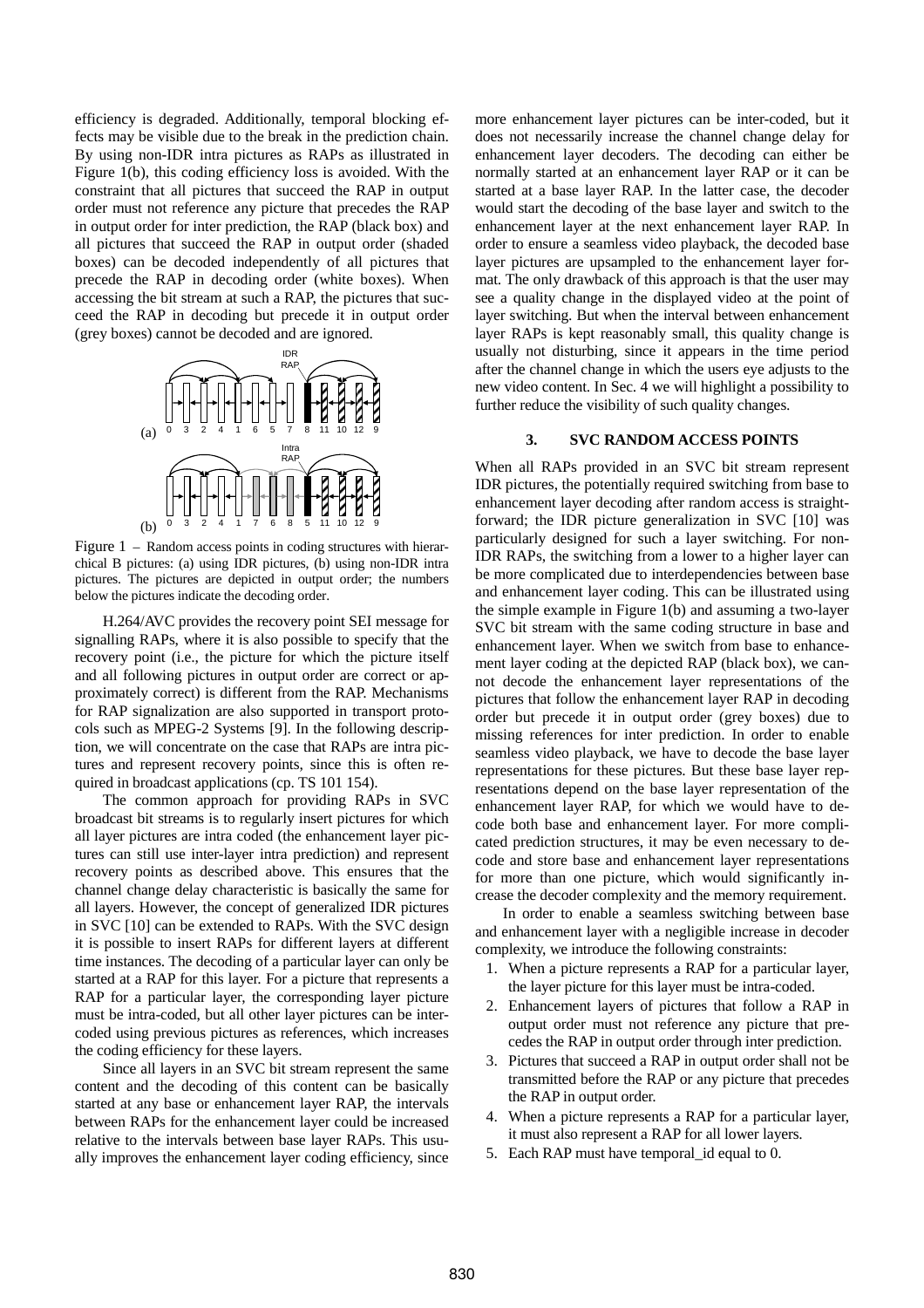efficiency is degraded. Additionally, temporal blocking effects may be visible due to the break in the prediction chain. By using non-IDR intra pictures as RAPs as illustrated in Figure 1(b), this coding efficiency loss is avoided. With the constraint that all pictures that succeed the RAP in output order must not reference any picture that precedes the RAP in output order for inter prediction, the RAP (black box) and all pictures that succeed the RAP in output order (shaded boxes) can be decoded independently of all pictures that precede the RAP in decoding order (white boxes). When accessing the bit stream at such a RAP, the pictures that succeed the RAP in decoding but precede it in output order (grey boxes) cannot be decoded and are ignored.



Figure 1 – Random access points in coding structures with hierarchical B pictures: (a) using IDR pictures, (b) using non-IDR intra pictures. The pictures are depicted in output order; the numbers below the pictures indicate the decoding order.

H.264/AVC provides the recovery point SEI message for signalling RAPs, where it is also possible to specify that the recovery point (i.e., the picture for which the picture itself and all following pictures in output order are correct or approximately correct) is different from the RAP. Mechanisms for RAP signalization are also supported in transport protocols such as MPEG-2 Systems [9]. In the following description, we will concentrate on the case that RAPs are intra pictures and represent recovery points, since this is often required in broadcast applications (cp. TS 101 154).

The common approach for providing RAPs in SVC broadcast bit streams is to regularly insert pictures for which all layer pictures are intra coded (the enhancement layer pictures can still use inter-layer intra prediction) and represent recovery points as described above. This ensures that the channel change delay characteristic is basically the same for all layers. However, the concept of generalized IDR pictures in SVC [10] can be extended to RAPs. With the SVC design it is possible to insert RAPs for different layers at different time instances. The decoding of a particular layer can only be started at a RAP for this layer. For a picture that represents a RAP for a particular layer, the corresponding layer picture must be intra-coded, but all other layer pictures can be intercoded using previous pictures as references, which increases the coding efficiency for these layers.

Since all layers in an SVC bit stream represent the same content and the decoding of this content can be basically started at any base or enhancement layer RAP, the intervals between RAPs for the enhancement layer could be increased relative to the intervals between base layer RAPs. This usually improves the enhancement layer coding efficiency, since more enhancement layer pictures can be inter-coded, but it does not necessarily increase the channel change delay for enhancement layer decoders. The decoding can either be normally started at an enhancement layer RAP or it can be started at a base layer RAP. In the latter case, the decoder would start the decoding of the base layer and switch to the enhancement layer at the next enhancement layer RAP. In order to ensure a seamless video playback, the decoded base layer pictures are upsampled to the enhancement layer format. The only drawback of this approach is that the user may see a quality change in the displayed video at the point of layer switching. But when the interval between enhancement layer RAPs is kept reasonably small, this quality change is usually not disturbing, since it appears in the time period after the channel change in which the users eye adjusts to the new video content. In Sec. 4 we will highlight a possibility to further reduce the visibility of such quality changes.

#### **3. SVC RANDOM ACCESS POINTS**

When all RAPs provided in an SVC bit stream represent IDR pictures, the potentially required switching from base to enhancement layer decoding after random access is straightforward; the IDR picture generalization in SVC [10] was particularly designed for such a layer switching. For non-IDR RAPs, the switching from a lower to a higher layer can be more complicated due to interdependencies between base and enhancement layer coding. This can be illustrated using the simple example in Figure 1(b) and assuming a two-layer SVC bit stream with the same coding structure in base and enhancement layer. When we switch from base to enhancement layer coding at the depicted RAP (black box), we cannot decode the enhancement layer representations of the pictures that follow the enhancement layer RAP in decoding order but precede it in output order (grey boxes) due to missing references for inter prediction. In order to enable seamless video playback, we have to decode the base layer representations for these pictures. But these base layer representations depend on the base layer representation of the enhancement layer RAP, for which we would have to decode both base and enhancement layer. For more complicated prediction structures, it may be even necessary to decode and store base and enhancement layer representations for more than one picture, which would significantly increase the decoder complexity and the memory requirement.

In order to enable a seamless switching between base and enhancement layer with a negligible increase in decoder complexity, we introduce the following constraints:

- 1. When a picture represents a RAP for a particular layer, the layer picture for this layer must be intra-coded.
- 2. Enhancement layers of pictures that follow a RAP in output order must not reference any picture that precedes the RAP in output order through inter prediction.
- 3. Pictures that succeed a RAP in output order shall not be transmitted before the RAP or any picture that precedes the RAP in output order.
- 4. When a picture represents a RAP for a particular layer, it must also represent a RAP for all lower layers.
- 5. Each RAP must have temporal\_id equal to 0.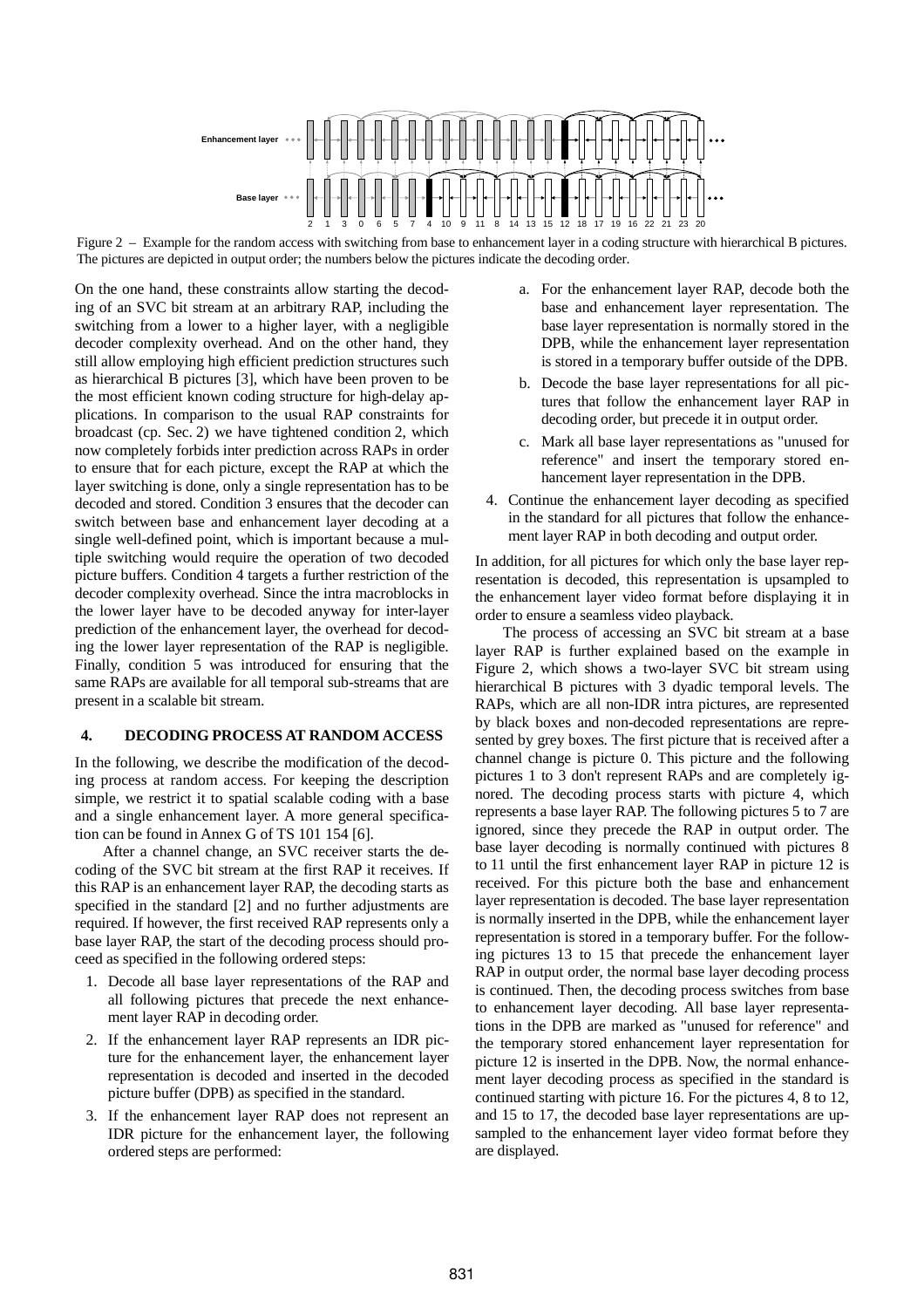

Figure 2 – Example for the random access with switching from base to enhancement layer in a coding structure with hierarchical B pictures. The pictures are depicted in output order; the numbers below the pictures indicate the decoding order.

On the one hand, these constraints allow starting the decoding of an SVC bit stream at an arbitrary RAP, including the switching from a lower to a higher layer, with a negligible decoder complexity overhead. And on the other hand, they still allow employing high efficient prediction structures such as hierarchical B pictures [3], which have been proven to be the most efficient known coding structure for high-delay applications. In comparison to the usual RAP constraints for broadcast (cp. Sec. 2) we have tightened condition 2, which now completely forbids inter prediction across RAPs in order to ensure that for each picture, except the RAP at which the layer switching is done, only a single representation has to be decoded and stored. Condition 3 ensures that the decoder can switch between base and enhancement layer decoding at a single well-defined point, which is important because a multiple switching would require the operation of two decoded picture buffers. Condition 4 targets a further restriction of the decoder complexity overhead. Since the intra macroblocks in the lower layer have to be decoded anyway for inter-layer prediction of the enhancement layer, the overhead for decoding the lower layer representation of the RAP is negligible. Finally, condition 5 was introduced for ensuring that the same RAPs are available for all temporal sub-streams that are present in a scalable bit stream.

# **4. DECODING PROCESS AT RANDOM ACCESS**

In the following, we describe the modification of the decoding process at random access. For keeping the description simple, we restrict it to spatial scalable coding with a base and a single enhancement layer. A more general specification can be found in Annex G of TS 101 154 [6].

After a channel change, an SVC receiver starts the decoding of the SVC bit stream at the first RAP it receives. If this RAP is an enhancement layer RAP, the decoding starts as specified in the standard [2] and no further adjustments are required. If however, the first received RAP represents only a base layer RAP, the start of the decoding process should proceed as specified in the following ordered steps:

- 1. Decode all base layer representations of the RAP and all following pictures that precede the next enhancement layer RAP in decoding order.
- 2. If the enhancement layer RAP represents an IDR picture for the enhancement layer, the enhancement layer representation is decoded and inserted in the decoded picture buffer (DPB) as specified in the standard.
- 3. If the enhancement layer RAP does not represent an IDR picture for the enhancement layer, the following ordered steps are performed:
- a. For the enhancement layer RAP, decode both the base and enhancement layer representation. The base layer representation is normally stored in the DPB, while the enhancement layer representation is stored in a temporary buffer outside of the DPB.
- b. Decode the base layer representations for all pictures that follow the enhancement layer RAP in decoding order, but precede it in output order.
- c. Mark all base layer representations as "unused for reference" and insert the temporary stored enhancement layer representation in the DPB.
- 4. Continue the enhancement layer decoding as specified in the standard for all pictures that follow the enhancement layer RAP in both decoding and output order.

In addition, for all pictures for which only the base layer representation is decoded, this representation is upsampled to the enhancement layer video format before displaying it in order to ensure a seamless video playback.

The process of accessing an SVC bit stream at a base layer RAP is further explained based on the example in Figure 2, which shows a two-layer SVC bit stream using hierarchical B pictures with 3 dyadic temporal levels. The RAPs, which are all non-IDR intra pictures, are represented by black boxes and non-decoded representations are represented by grey boxes. The first picture that is received after a channel change is picture 0. This picture and the following pictures 1 to 3 don't represent RAPs and are completely ignored. The decoding process starts with picture 4, which represents a base layer RAP. The following pictures 5 to 7 are ignored, since they precede the RAP in output order. The base layer decoding is normally continued with pictures 8 to 11 until the first enhancement layer RAP in picture 12 is received. For this picture both the base and enhancement layer representation is decoded. The base layer representation is normally inserted in the DPB, while the enhancement layer representation is stored in a temporary buffer. For the following pictures 13 to 15 that precede the enhancement layer RAP in output order, the normal base layer decoding process is continued. Then, the decoding process switches from base to enhancement layer decoding. All base layer representations in the DPB are marked as "unused for reference" and the temporary stored enhancement layer representation for picture 12 is inserted in the DPB. Now, the normal enhancement layer decoding process as specified in the standard is continued starting with picture 16. For the pictures 4, 8 to 12, and 15 to 17, the decoded base layer representations are upsampled to the enhancement layer video format before they are displayed.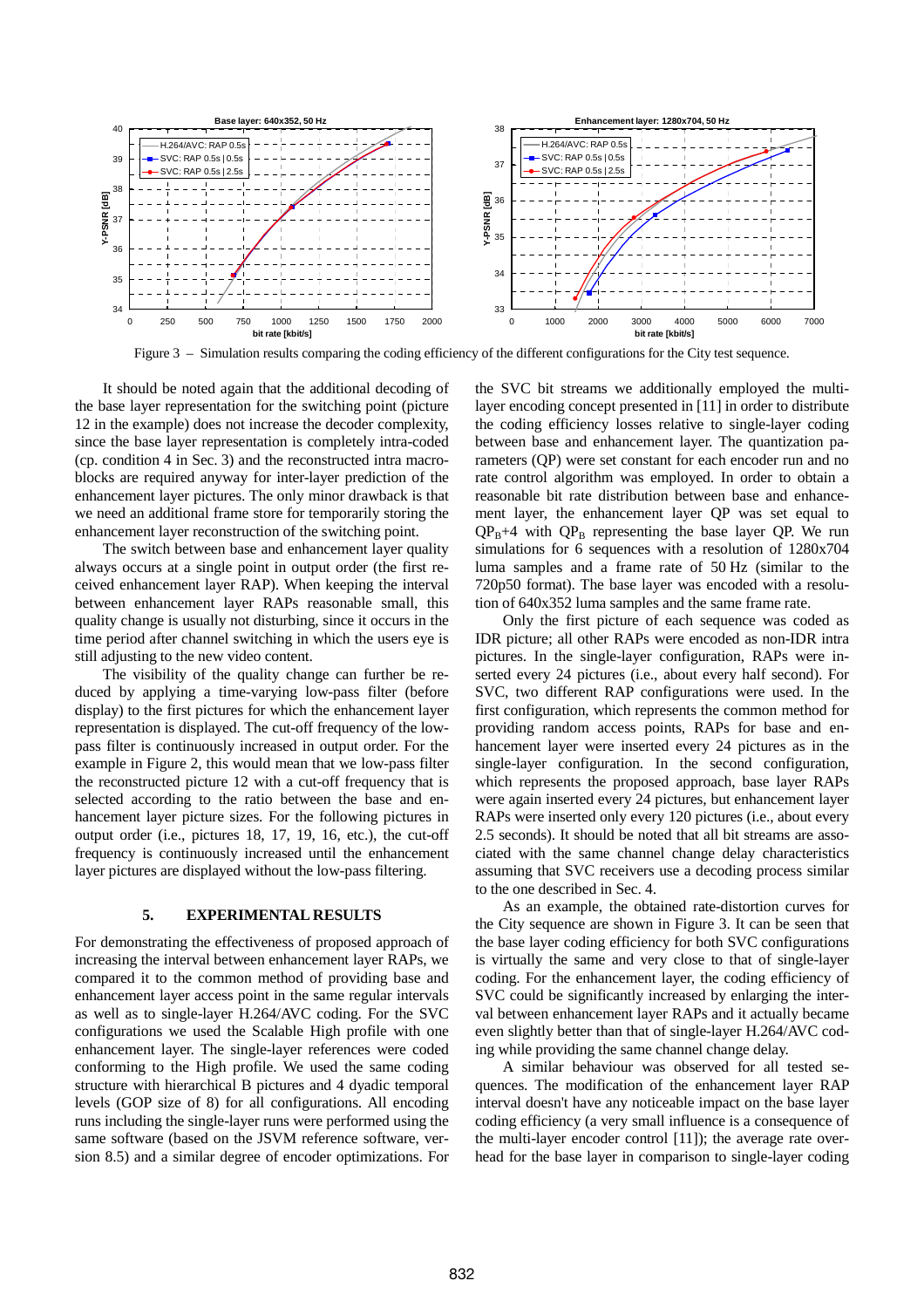

Figure 3 – Simulation results comparing the coding efficiency of the different configurations for the City test sequence.

It should be noted again that the additional decoding of the base layer representation for the switching point (picture 12 in the example) does not increase the decoder complexity, since the base layer representation is completely intra-coded (cp. condition 4 in Sec. 3) and the reconstructed intra macroblocks are required anyway for inter-layer prediction of the enhancement layer pictures. The only minor drawback is that we need an additional frame store for temporarily storing the enhancement layer reconstruction of the switching point.

The switch between base and enhancement layer quality always occurs at a single point in output order (the first received enhancement layer RAP). When keeping the interval between enhancement layer RAPs reasonable small, this quality change is usually not disturbing, since it occurs in the time period after channel switching in which the users eye is still adjusting to the new video content.

The visibility of the quality change can further be reduced by applying a time-varying low-pass filter (before display) to the first pictures for which the enhancement layer representation is displayed. The cut-off frequency of the lowpass filter is continuously increased in output order. For the example in Figure 2, this would mean that we low-pass filter the reconstructed picture 12 with a cut-off frequency that is selected according to the ratio between the base and enhancement layer picture sizes. For the following pictures in output order (i.e., pictures 18, 17, 19, 16, etc.), the cut-off frequency is continuously increased until the enhancement layer pictures are displayed without the low-pass filtering.

## **5. EXPERIMENTAL RESULTS**

For demonstrating the effectiveness of proposed approach of increasing the interval between enhancement layer RAPs, we compared it to the common method of providing base and enhancement layer access point in the same regular intervals as well as to single-layer H.264/AVC coding. For the SVC configurations we used the Scalable High profile with one enhancement layer. The single-layer references were coded conforming to the High profile. We used the same coding structure with hierarchical B pictures and 4 dyadic temporal levels (GOP size of 8) for all configurations. All encoding runs including the single-layer runs were performed using the same software (based on the JSVM reference software, version 8.5) and a similar degree of encoder optimizations. For the SVC bit streams we additionally employed the multilayer encoding concept presented in [11] in order to distribute the coding efficiency losses relative to single-layer coding between base and enhancement layer. The quantization parameters (QP) were set constant for each encoder run and no rate control algorithm was employed. In order to obtain a reasonable bit rate distribution between base and enhancement layer, the enhancement layer QP was set equal to  $QP_B+4$  with  $QP_B$  representing the base layer QP. We run simulations for 6 sequences with a resolution of 1280x704 luma samples and a frame rate of 50 Hz (similar to the 720p50 format). The base layer was encoded with a resolution of 640x352 luma samples and the same frame rate.

Only the first picture of each sequence was coded as IDR picture; all other RAPs were encoded as non-IDR intra pictures. In the single-layer configuration, RAPs were inserted every 24 pictures (i.e., about every half second). For SVC, two different RAP configurations were used. In the first configuration, which represents the common method for providing random access points, RAPs for base and enhancement layer were inserted every 24 pictures as in the single-layer configuration. In the second configuration, which represents the proposed approach, base layer RAPs were again inserted every 24 pictures, but enhancement layer RAPs were inserted only every 120 pictures (i.e., about every 2.5 seconds). It should be noted that all bit streams are associated with the same channel change delay characteristics assuming that SVC receivers use a decoding process similar to the one described in Sec. 4.

As an example, the obtained rate-distortion curves for the City sequence are shown in Figure 3. It can be seen that the base layer coding efficiency for both SVC configurations is virtually the same and very close to that of single-layer coding. For the enhancement layer, the coding efficiency of SVC could be significantly increased by enlarging the interval between enhancement layer RAPs and it actually became even slightly better than that of single-layer H.264/AVC coding while providing the same channel change delay.

A similar behaviour was observed for all tested sequences. The modification of the enhancement layer RAP interval doesn't have any noticeable impact on the base layer coding efficiency (a very small influence is a consequence of the multi-layer encoder control [11]); the average rate overhead for the base layer in comparison to single-layer coding